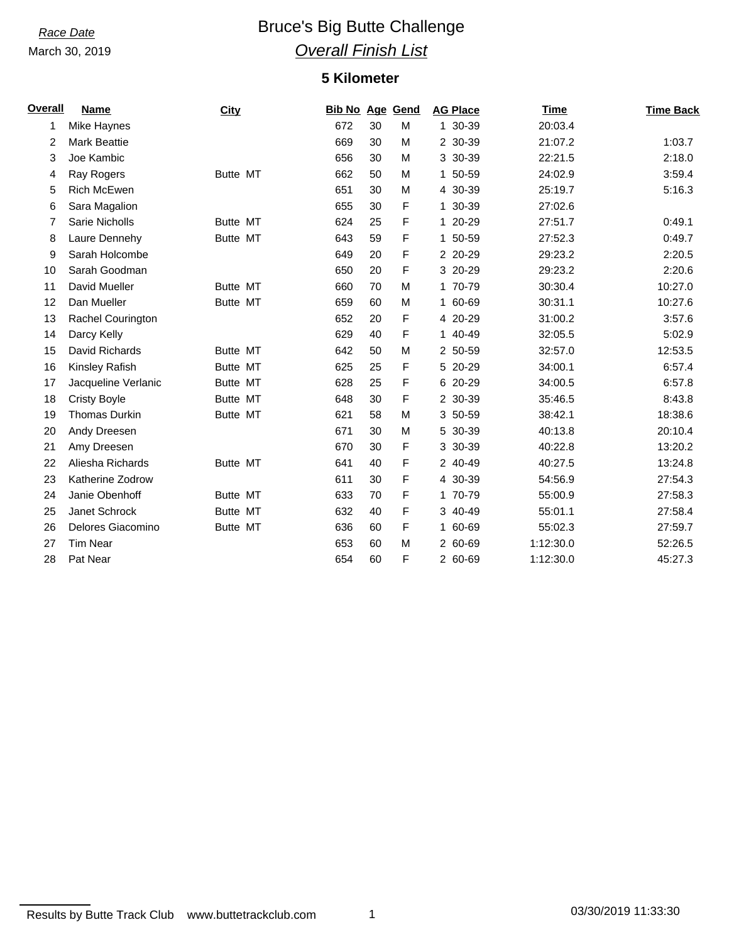March 30, 2019

# **Race Date Bruce's Big Butte Challenge** *Overall Finish List*

### **5 Kilometer**

| Overall | <b>Name</b>          | <b>City</b>     | <b>Bib No Age Gend</b> |    |   | <b>AG Place</b> | Time      | <b>Time Back</b> |
|---------|----------------------|-----------------|------------------------|----|---|-----------------|-----------|------------------|
| 1       | Mike Haynes          |                 | 672                    | 30 | M | 1 30-39         | 20:03.4   |                  |
| 2       | <b>Mark Beattie</b>  |                 | 669                    | 30 | M | 2 30-39         | 21:07.2   | 1:03.7           |
| 3       | Joe Kambic           |                 | 656                    | 30 | M | 3 30-39         | 22:21.5   | 2:18.0           |
| 4       | Ray Rogers           | Butte MT        | 662                    | 50 | M | 1 50-59         | 24:02.9   | 3:59.4           |
| 5       | Rich McEwen          |                 | 651                    | 30 | M | 4 30-39         | 25:19.7   | 5:16.3           |
| 6       | Sara Magalion        |                 | 655                    | 30 | F | 1 30-39         | 27:02.6   |                  |
| 7       | Sarie Nicholls       | Butte MT        | 624                    | 25 | F | 1 20-29         | 27:51.7   | 0:49.1           |
| 8       | Laure Dennehy        | <b>Butte MT</b> | 643                    | 59 | F | 1 50-59         | 27:52.3   | 0:49.7           |
| 9       | Sarah Holcombe       |                 | 649                    | 20 | F | 2 20-29         | 29:23.2   | 2:20.5           |
| 10      | Sarah Goodman        |                 | 650                    | 20 | F | 3 20-29         | 29:23.2   | 2:20.6           |
| 11      | David Mueller        | Butte MT        | 660                    | 70 | M | 1 70-79         | 30:30.4   | 10:27.0          |
| 12      | Dan Mueller          | Butte MT        | 659                    | 60 | M | 1 60-69         | 30:31.1   | 10:27.6          |
| 13      | Rachel Courington    |                 | 652                    | 20 | F | 4 20-29         | 31:00.2   | 3:57.6           |
| 14      | Darcy Kelly          |                 | 629                    | 40 | F | 1 40-49         | 32:05.5   | 5:02.9           |
| 15      | David Richards       | Butte MT        | 642                    | 50 | M | 2 50-59         | 32:57.0   | 12:53.5          |
| 16      | Kinsley Rafish       | <b>Butte MT</b> | 625                    | 25 | F | 5 20-29         | 34:00.1   | 6:57.4           |
| 17      | Jacqueline Verlanic  | <b>Butte MT</b> | 628                    | 25 | F | 6 20-29         | 34:00.5   | 6:57.8           |
| 18      | <b>Cristy Boyle</b>  | <b>Butte MT</b> | 648                    | 30 | F | 2 30-39         | 35:46.5   | 8:43.8           |
| 19      | <b>Thomas Durkin</b> | <b>Butte MT</b> | 621                    | 58 | M | 3 50-59         | 38:42.1   | 18:38.6          |
| 20      | Andy Dreesen         |                 | 671                    | 30 | M | 5 30-39         | 40:13.8   | 20:10.4          |
| 21      | Amy Dreesen          |                 | 670                    | 30 | F | 3 30-39         | 40:22.8   | 13:20.2          |
| 22      | Aliesha Richards     | Butte MT        | 641                    | 40 | F | 2 40-49         | 40:27.5   | 13:24.8          |
| 23      | Katherine Zodrow     |                 | 611                    | 30 | F | 4 30-39         | 54:56.9   | 27:54.3          |
| 24      | Janie Obenhoff       | <b>Butte MT</b> | 633                    | 70 | F | 1 70-79         | 55:00.9   | 27:58.3          |
| 25      | Janet Schrock        | <b>Butte MT</b> | 632                    | 40 | F | 3 40-49         | 55:01.1   | 27:58.4          |
| 26      | Delores Giacomino    | <b>Butte MT</b> | 636                    | 60 | F | 1 60-69         | 55:02.3   | 27:59.7          |
| 27      | <b>Tim Near</b>      |                 | 653                    | 60 | M | 2 60-69         | 1:12:30.0 | 52:26.5          |
| 28      | Pat Near             |                 | 654                    | 60 | F | 2 60-69         | 1:12:30.0 | 45:27.3          |

Results by Butte Track Club www.buttetrackclub.com 1 1 03/30/2019 11:33:30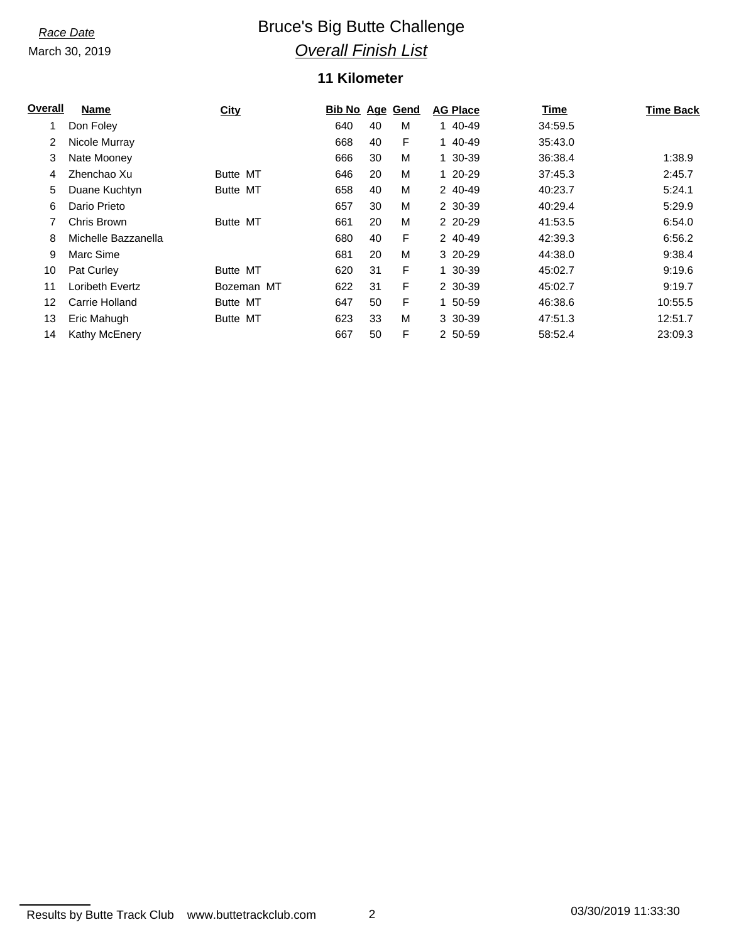March 30, 2019

# **Race Date Bruce's Big Butte Challenge** *Overall Finish List*

### **11 Kilometer**

| Overall | Name                | City            | <b>Bib No Age Gend</b> |    |   | <b>AG Place</b> | Time    | <b>Time Back</b> |
|---------|---------------------|-----------------|------------------------|----|---|-----------------|---------|------------------|
| 1       | Don Foley           |                 | 640                    | 40 | M | 1 40-49         | 34:59.5 |                  |
| 2       | Nicole Murray       |                 | 668                    | 40 | F | 1 40-49         | 35:43.0 |                  |
| 3       | Nate Mooney         |                 | 666                    | 30 | M | 1 30-39         | 36:38.4 | 1:38.9           |
| 4       | Zhenchao Xu         | Butte MT        | 646                    | 20 | M | 1 20-29         | 37:45.3 | 2:45.7           |
| 5       | Duane Kuchtyn       | Butte MT        | 658                    | 40 | M | 2 40-49         | 40:23.7 | 5:24.1           |
| 6       | Dario Prieto        |                 | 657                    | 30 | M | 2 30-39         | 40:29.4 | 5:29.9           |
|         | Chris Brown         | Butte MT        | 661                    | 20 | M | 2 20-29         | 41:53.5 | 6:54.0           |
| 8       | Michelle Bazzanella |                 | 680                    | 40 | F | 2 40-49         | 42:39.3 | 6:56.2           |
| 9       | Marc Sime           |                 | 681                    | 20 | M | 3 20-29         | 44:38.0 | 9:38.4           |
| 10      | Pat Curley          | Butte MT        | 620                    | 31 | F | 1 30-39         | 45:02.7 | 9:19.6           |
| 11      | Loribeth Evertz     | Bozeman MT      | 622                    | 31 | F | 2 30-39         | 45:02.7 | 9:19.7           |
| 12      | Carrie Holland      | Butte MT        | 647                    | 50 | F | 1 50-59         | 46:38.6 | 10:55.5          |
| 13      | Eric Mahugh         | <b>Butte MT</b> | 623                    | 33 | M | 3 30-39         | 47:51.3 | 12:51.7          |
| 14      | Kathy McEnery       |                 | 667                    | 50 | F | 2 50-59         | 58:52.4 | 23:09.3          |